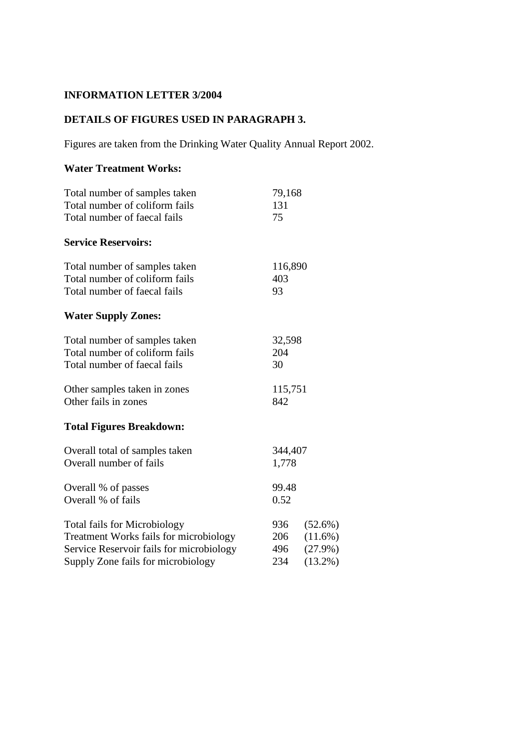# **INFORMATION LETTER 3/2004**

## **DETAILS OF FIGURES USED IN PARAGRAPH 3.**

Figures are taken from the Drinking Water Quality Annual Report 2002.

#### **Water Treatment Works:**

| Total number of samples taken            | 79,168  |            |
|------------------------------------------|---------|------------|
| Total number of coliform fails           | 131     |            |
| Total number of faecal fails             | 75      |            |
| <b>Service Reservoirs:</b>               |         |            |
| Total number of samples taken            | 116,890 |            |
| Total number of coliform fails           | 403     |            |
| Total number of faecal fails             | 93      |            |
| <b>Water Supply Zones:</b>               |         |            |
| Total number of samples taken            | 32,598  |            |
| Total number of coliform fails           | 204     |            |
| Total number of faecal fails             | 30      |            |
| Other samples taken in zones             | 115,751 |            |
| Other fails in zones                     | 842     |            |
| <b>Total Figures Breakdown:</b>          |         |            |
| Overall total of samples taken           | 344,407 |            |
| Overall number of fails                  | 1,778   |            |
| Overall % of passes                      | 99.48   |            |
| Overall % of fails                       | 0.52    |            |
| <b>Total fails for Microbiology</b>      | 936     | $(52.6\%)$ |
| Treatment Works fails for microbiology   | 206     | $(11.6\%)$ |
| Service Reservoir fails for microbiology | 496     | $(27.9\%)$ |
| Supply Zone fails for microbiology       | 234     | $(13.2\%)$ |